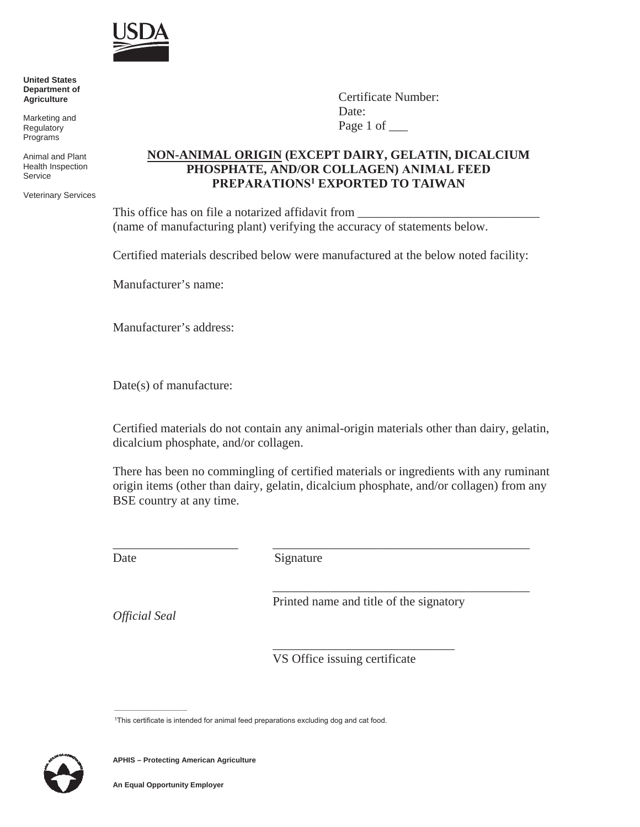

 **United States Department of Agriculture**

 Marketing and **Regulatory** Programs

 Animal and Plant Health Inspection **Service** 

Veterinary Services

Certificate Number: Date: Page 1 of \_\_\_\_

## **NON-ANIMAL ORIGIN (EXCEPT DAIRY, GELATIN, DICALCIUM PHOSPHATE, AND/OR COLLAGEN) ANIMAL FEED PREPARATIONS1 EXPORTED TO TAIWAN**

This office has on file a notarized affidavit from (name of manufacturing plant) verifying the accuracy of statements below.

Certified materials described below were manufactured at the below noted facility:

Manufacturer's name:

Manufacturer's address:

Date(s) of manufacture:

\_\_\_\_\_\_\_\_\_\_\_\_\_\_\_\_\_\_\_\_

Certified materials do not contain any animal-origin materials other than dairy, gelatin, dicalcium phosphate, and/or collagen.

There has been no commingling of certified materials or ingredients with any ruminant origin items (other than dairy, gelatin, dicalcium phosphate, and/or collagen) from any BSE country at any time.

Date

Signature

Printed name and title of the signatory

\_\_\_\_\_\_\_\_\_\_\_\_\_\_\_\_\_\_\_\_\_\_\_\_\_\_\_\_\_

\_\_\_\_\_\_\_\_\_\_\_\_\_\_\_\_\_\_\_\_\_\_\_\_\_\_\_\_\_\_\_\_\_\_\_\_\_\_\_\_\_

\_\_\_\_\_\_\_\_\_\_\_\_\_\_\_\_\_\_\_\_\_\_\_\_\_\_\_\_\_\_\_\_\_\_\_\_\_\_\_\_\_

VS Office issuing certificate

1This certificate is intended for animal feed preparations excluding dog and cat food.



\_\_\_\_\_\_\_\_\_\_\_\_\_\_\_\_\_\_\_\_\_\_\_\_\_\_\_

*Official Seal*